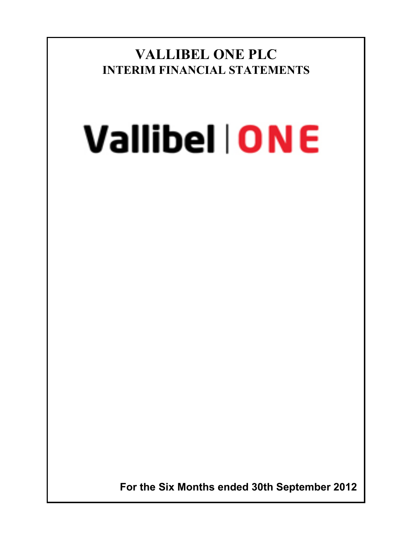**VALLIBEL ONE PLC INTERIM FINANCIAL STATEMENTS**

# **Vallibel | ONE**

 **For the Six Months ended 30th September 2012**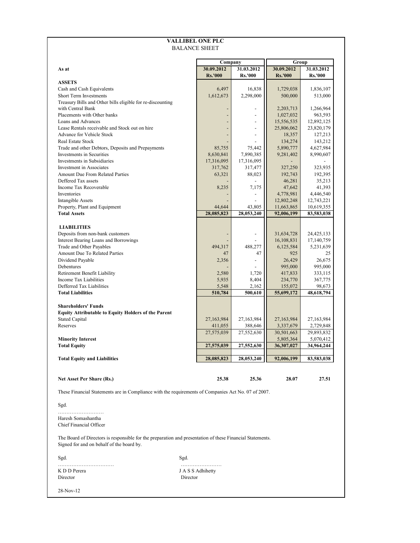|                                                                                                                                                        | <b>VALLIBEL ONE PLC</b><br><b>BALANCE SHEET</b> |                         |                       |                      |
|--------------------------------------------------------------------------------------------------------------------------------------------------------|-------------------------------------------------|-------------------------|-----------------------|----------------------|
|                                                                                                                                                        | Group                                           |                         |                       |                      |
| As at                                                                                                                                                  | Company<br>30.09.2012                           | 31.03.2012              | 30.09.2012            | 31.03.2012           |
|                                                                                                                                                        | <b>Rs.'000</b>                                  | <b>Rs.'000</b>          | <b>Rs.'000</b>        | <b>Rs.'000</b>       |
| <b>ASSETS</b>                                                                                                                                          |                                                 |                         |                       |                      |
| Cash and Cash Equivalents                                                                                                                              | 6,497                                           | 16,838                  | 1,729,038             | 1,836,107            |
| <b>Short Term Investments</b>                                                                                                                          | 1,612,673                                       | 2,298,000               | 500,000               | 513,000              |
| Treasury Bills and Other bills eligible for re-discounting<br>with Central Bank                                                                        | $\overline{\phantom{a}}$                        |                         | 2,203,713             | 1,266,964            |
| Placements with Other banks                                                                                                                            |                                                 |                         | 1,027,032             | 963,593              |
| Loans and Advances                                                                                                                                     |                                                 |                         | 15,556,535            | 12,892,125           |
| Lease Rentals receivable and Stock out on hire                                                                                                         |                                                 | $\overline{a}$          | 25,806,062            | 23,820,179           |
| Advance for Vehicle Stock                                                                                                                              |                                                 |                         | 18,357                | 127,213              |
| Real Estate Stock                                                                                                                                      |                                                 |                         | 134,274               | 143,212              |
| Trade and other Debtors, Deposits and Prepayments                                                                                                      | 85,755                                          | 75,442                  | 5,890,777             | 4,627,984            |
| Investments in Securities<br>Investments in Subsidiaries                                                                                               | 8,630,841<br>17,316,095                         | 7,890,385<br>17,316,095 | 9,281,402             | 8,990,607            |
| Investment in Associates                                                                                                                               | 317,762                                         | 317,477                 | 327,250               | 323,935              |
| Amount Due From Related Parties                                                                                                                        | 63,321                                          | 88,023                  | 192,743               | 192,395              |
| Deffered Tax assets                                                                                                                                    |                                                 |                         | 46,281                | 35,213               |
| Income Tax Recoverable                                                                                                                                 | 8,235                                           | 7,175                   | 47,642                | 41,393               |
| Inventories                                                                                                                                            |                                                 |                         | 4,778,981             | 4,446,540            |
| Intangible Assets                                                                                                                                      |                                                 |                         | 12,802,248            | 12,743,221           |
| Property, Plant and Equipment                                                                                                                          | 44,644                                          | 43,805                  | 11,663,865            | 10,619,355           |
| <b>Total Assets</b>                                                                                                                                    | 28,085,823                                      | 28,053,240              | 92,006,199            | 83,583,038           |
|                                                                                                                                                        |                                                 |                         |                       |                      |
| <b>LIABILITIES</b><br>Deposits from non-bank customers                                                                                                 |                                                 | $\overline{a}$          | 31,634,728            | 24,425,133           |
| Interest Bearing Loans and Borrowings                                                                                                                  |                                                 |                         | 16,108,831            | 17,140,759           |
| Trade and Other Payables                                                                                                                               | 494,317                                         | 488,277                 | 6,125,584             | 5,231,639            |
| Amount Due To Related Parties                                                                                                                          | 47                                              | 47                      | 925                   | 25                   |
| Dividend Payable                                                                                                                                       | 2,356                                           |                         | 26,429                | 26,675               |
| Debentures                                                                                                                                             |                                                 |                         | 995,000               | 995,000              |
| Retirement Benefit Liability                                                                                                                           | 2,580                                           | 1,720                   | 417,833               | 333,115              |
| Income Tax Liabilities                                                                                                                                 | 5,935                                           | 8,404                   | 234,770               | 367,775              |
| Defferred Tax Liabilities<br><b>Total Liabilities</b>                                                                                                  | 5,548<br>510,784                                | 2,162<br>500,610        | 155,072<br>55,699,172 | 98,673<br>48,618,794 |
|                                                                                                                                                        |                                                 |                         |                       |                      |
| <b>Shareholders' Funds</b>                                                                                                                             |                                                 |                         |                       |                      |
| <b>Equity Attributable to Equity Holders of the Parent</b>                                                                                             |                                                 |                         |                       |                      |
| <b>Stated Capital</b>                                                                                                                                  | 27,163,984                                      | 27,163,984              | 27,163,984            | 27,163,984           |
| Reserves                                                                                                                                               | 411,055                                         | 388,646                 | 3,337,679             | 2,729,848            |
|                                                                                                                                                        | 27,575,039                                      | 27,552,630              | 30,501,663            | 29,893,832           |
| <b>Minority Interest</b>                                                                                                                               |                                                 |                         | 5,805,364             | 5,070,412            |
| <b>Total Equity</b>                                                                                                                                    | 27,575,039                                      | 27,552,630              | 36,307,027            | 34,964,244           |
| <b>Total Equity and Liabilities</b>                                                                                                                    | 28,085,823                                      | 28,053,240              | 92,006,199            | 83,583,038           |
|                                                                                                                                                        |                                                 |                         |                       |                      |
| Net Asset Per Share (Rs.)                                                                                                                              | 25.38                                           | 25.36                   | 28.07                 | 27.51                |
| These Financial Statements are in Compliance with the requirements of Companies Act No. 07 of 2007.                                                    |                                                 |                         |                       |                      |
| Sgd.                                                                                                                                                   |                                                 |                         |                       |                      |
| Haresh Somashantha<br><b>Chief Financial Officer</b>                                                                                                   |                                                 |                         |                       |                      |
| The Board of Directors is responsible for the preparation and presentation of these Financial Statements.<br>Signed for and on behalf of the board by. |                                                 |                         |                       |                      |
| Sgd.                                                                                                                                                   | Sgd.                                            |                         |                       |                      |
| K D D Perera                                                                                                                                           |                                                 |                         |                       |                      |
| Director                                                                                                                                               | J A S S Adhihetty<br>Director                   |                         |                       |                      |
|                                                                                                                                                        |                                                 |                         |                       |                      |
| 28-Nov-12                                                                                                                                              |                                                 |                         |                       |                      |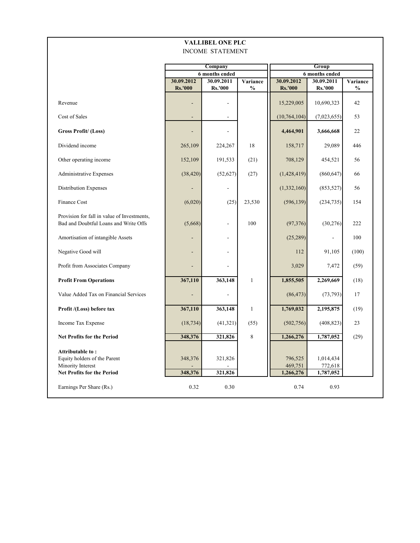|                                                                                                            |                              | <b>VALLIBEL ONE PLC</b><br><b>INCOME STATEMENT</b> |                           |                                 |                                   |                           |  |  |
|------------------------------------------------------------------------------------------------------------|------------------------------|----------------------------------------------------|---------------------------|---------------------------------|-----------------------------------|---------------------------|--|--|
|                                                                                                            |                              | Company<br>6 months ended                          |                           | Group<br>6 months ended         |                                   |                           |  |  |
|                                                                                                            | 30.09.2012<br><b>Rs.'000</b> | 30.09.2011<br><b>Rs.'000</b>                       | Variance<br>$\frac{0}{0}$ | 30.09.2012<br><b>Rs.'000</b>    | 30.09.2011<br><b>Rs.'000</b>      | Variance<br>$\frac{0}{0}$ |  |  |
| Revenue                                                                                                    |                              |                                                    |                           | 15,229,005                      | 10,690,323                        | 42                        |  |  |
| Cost of Sales                                                                                              |                              |                                                    |                           | (10,764,104)                    | (7,023,655)                       | 53                        |  |  |
| <b>Gross Profit/ (Loss)</b>                                                                                |                              |                                                    |                           | 4,464,901                       | 3,666,668                         | 22                        |  |  |
| Dividend income                                                                                            | 265,109                      | 224,267                                            | 18                        | 158,717                         | 29,089                            | 446                       |  |  |
| Other operating income                                                                                     | 152,109                      | 191,533                                            | (21)                      | 708,129                         | 454,521                           | 56                        |  |  |
| <b>Administrative Expenses</b>                                                                             | (38, 420)                    | (52, 627)                                          | (27)                      | (1,428,419)                     | (860, 647)                        | 66                        |  |  |
| Distribution Expenses                                                                                      |                              |                                                    |                           | (1, 332, 160)                   | (853, 527)                        | 56                        |  |  |
| Finance Cost                                                                                               | (6,020)                      | (25)                                               | 23,530                    | (596, 139)                      | (234, 735)                        | 154                       |  |  |
| Provision for fall in value of Investments,<br>Bad and Doubtful Loans and Write Offs                       | (5,668)                      | ٠                                                  | 100                       | (97, 376)                       | (30, 276)                         | 222                       |  |  |
| Amortisation of intangible Assets                                                                          |                              |                                                    |                           | (25, 289)                       | $\overline{a}$                    | 100                       |  |  |
| Negative Good will                                                                                         |                              |                                                    |                           | 112                             | 91,105                            | (100)                     |  |  |
| Profit from Associates Company                                                                             |                              |                                                    |                           | 3,029                           | 7,472                             | (59)                      |  |  |
| <b>Profit From Operations</b>                                                                              | 367,110                      | 363,148                                            | $\mathbf{1}$              | 1,855,505                       | 2,269,669                         | (18)                      |  |  |
| Value Added Tax on Financial Services                                                                      |                              |                                                    |                           | (86, 473)                       | (73, 793)                         | 17                        |  |  |
| Profit /(Loss) before tax                                                                                  | 367,110                      | 363,148                                            | $\mathbf{1}$              | 1,769,032                       | 2,195,875                         | (19)                      |  |  |
| Income Tax Expense                                                                                         | (18, 734)                    | (41,321)                                           | (55)                      | (502, 756)                      | (408, 823)                        | 23                        |  |  |
| <b>Net Profits for the Period</b>                                                                          | 348,376                      | 321,826                                            | 8                         | 1,266,276                       | 1,787,052                         | (29)                      |  |  |
| Attributable to:<br>Equity holders of the Parent<br>Minority Interest<br><b>Net Profits for the Period</b> | 348,376<br>348,376           | 321,826<br>321,826                                 |                           | 796,525<br>469,751<br>1,266,276 | 1,014,434<br>772,618<br>1,787,052 |                           |  |  |
| Earnings Per Share (Rs.)                                                                                   | 0.32                         | 0.30                                               |                           | 0.74                            | 0.93                              |                           |  |  |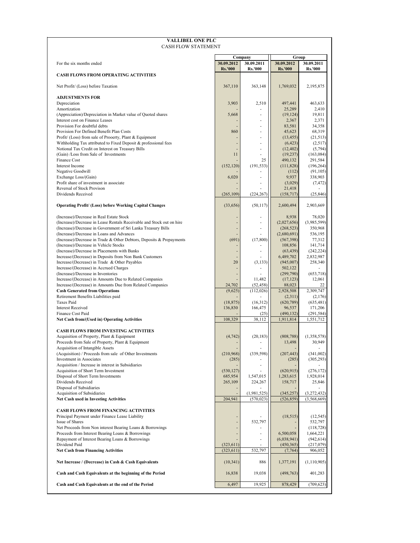| <b>VALLIBEL ONE PLC</b><br><b>CASH FLOW STATEMENT</b>                                                                |                          |                           |                           |                            |
|----------------------------------------------------------------------------------------------------------------------|--------------------------|---------------------------|---------------------------|----------------------------|
|                                                                                                                      |                          | Company                   | Group                     |                            |
| For the six months ended                                                                                             | 30.09.2012               | 30.09.2011                | 30.09.2012                | 30.09.2011                 |
| <b>CASH FLOWS FROM OPERATING ACTIVITIES</b>                                                                          | <b>Rs.'000</b>           | <b>Rs.'000</b>            | <b>Rs.'000</b>            | <b>Rs.'000</b>             |
| Net Profit/ (Loss) before Taxation                                                                                   | 367,110                  | 363,148                   | 1,769,032                 | 2,195,875                  |
| <b>ADJUSTMENTS FOR</b>                                                                                               |                          |                           |                           |                            |
| Depreciation<br>Amortization                                                                                         | 3,903                    | 2,510                     | 497,441<br>25.289         | 463,633<br>2,410           |
| (Appreciation)/Depreciation in Market value of Quoted shares                                                         | 5,668                    | ä,                        | (19, 124)                 | 19,811                     |
| Interest cost on Finance Leases                                                                                      |                          |                           | 2,367                     | 2,371                      |
| Provision For doubtful debts<br>Provision For Defined Benefit Plan Costs                                             | 860                      |                           | 83,581<br>45,623          | 34,358<br>68,319           |
| Profit/ (Loss) from sale of Prooerty, Plant & Equipment                                                              |                          | ä,                        | (13, 455)                 | (21, 513)                  |
| Withholding Tax attributed to Fixed Deposit & professional fees                                                      |                          |                           | (6, 423)                  | (2, 517)                   |
| Notional Tax Credit on Interest on Treasury Bills                                                                    |                          | ٠                         | (12, 402)                 | (5, 794)                   |
| (Gain) /Loss from Sale of Investments<br>Finance Cost                                                                | 11                       | 25                        | (19, 237)<br>490,132      | (163, 084)<br>291,584      |
| Interest Income                                                                                                      | (152, 120)               | (191, 533)                | (111,828)                 | (196, 264)                 |
| Negative Goodwill                                                                                                    |                          |                           | (112)                     | (91, 105)                  |
| Exchange Loss/(Gain)<br>Profit share of investment in associate                                                      | 6,020                    | ÷.                        | 9,937<br>(3,029)          | 338,903<br>(7, 472)        |
| Reversal of Stock Provison                                                                                           |                          |                           | 21,418                    |                            |
| Dividends Received                                                                                                   | (265, 109)               | (224, 267)                | (158, 717)                | (25, 846)                  |
| <b>Operating Profit/ (Loss) before Working Capital Changes</b>                                                       | (33, 656)                | (50, 117)                 | 2,600,494                 | 2,903,669                  |
| (Increase)/Decrease in Real Estate Stock                                                                             |                          | ä,                        | 8,938                     | 78,020                     |
| (Increase)/Decrease in Lease Rentals Receivable and Stock out on hire                                                | $\overline{\phantom{a}}$ | ä,                        | (2,027,656)               | (3,985,599)                |
| (Increase)/Decrease in Government of Sri Lanka Treasury Bills<br>(Increase)/Decrease in Loans and Advances           |                          | ÷,                        | (268, 523)<br>(2,680,691) | 350,968<br>536,195         |
| (Increase)/Decrease in Trade & Other Debtors, Deposits & Prepayments                                                 | (691)                    | (17, 800)                 | (567,398)                 | 77,312                     |
| (Increase)/Decrease in Vehicle Stocks                                                                                |                          |                           | 108,856                   | 141,714                    |
| (Increase)/Decrease in Placements with Banks<br>Increase/(Decrease) in Deposits from Non Bank Customers              |                          |                           | (63, 439)<br>6,489,702    | (242, 224)<br>2,832,987    |
| Increase/(Decrease) in Trade & Other Payables                                                                        | 20                       | (3, 133)                  | (945,007)                 | 258,340                    |
| Increase/(Decrease) in Accrued Charges                                                                               |                          | ٠                         | 502,122                   |                            |
| (Increase)/Decrease in Inventories                                                                                   |                          | 11,482                    | (299,790)<br>(17, 123)    | (653, 718)<br>12,061       |
| Increase/(Decrease) in Amounts Due to Related Companies<br>Increase/(Decrease) in Amounts Due from Related Companies | 24,702                   | (52, 458)                 | 88,023                    | 22                         |
| <b>Cash Generated from Operations</b>                                                                                | (9,625)                  | (112, 026)                | 2,928,508                 | 2,309,747                  |
| Retirement Benefits Liabilities paid                                                                                 |                          |                           | (2,311)                   | (2,176)                    |
| Taxes Paid<br><b>Interest Received</b>                                                                               | (18, 875)<br>136,830     | (16,312)<br>166,475       | (620, 789)<br>96,537      | (635, 481)<br>171,206      |
| <b>Finance Cost Paid</b>                                                                                             |                          | (25)                      | (490, 132)                | (291, 584)                 |
| Net Cash from/(Used in) Operating Activities                                                                         | 108,329                  | 38,112                    | 1,911,814                 | 1,551,712                  |
| <b>CASH FLOWS FROM INVESTING ACTIVITIES</b>                                                                          |                          |                           |                           |                            |
| Acquisition of Property, Plant & Equipment                                                                           | (4, 742)                 | (20, 183)                 | (808, 788)                | (1,358,578)                |
| Proceeds from Sale of Property, Plant & Equipment<br>Acquisition of Intangible Assets                                |                          | ÷.                        | 13,498                    | 30,949                     |
| (Acquisition) / Proceeds from sale of Other Investments                                                              | (210,968)                | (339, 598)                | (207, 443)                | (341,002)                  |
| Investment in Associates                                                                                             | (285)                    |                           | (285)                     | (305, 293)                 |
| Acquisition / Increase in interest in Subsidiaries<br>Acquisition of Short Term Investment                           | (530, 127)               | ä,                        | (620, 915)                | (276, 172)                 |
| Disposal of Short Term Investments                                                                                   | 685,954                  | 1,547,015                 | 1,283,615                 | 1,928,014                  |
| Dividends Received                                                                                                   | 265,109                  | 224,267                   | 158,717                   | 25,846                     |
| Disposal of Subsidiaries                                                                                             |                          |                           |                           |                            |
| Acquisition of Subsidiaries<br><b>Net Cash used in Investing Activities</b>                                          | 204,941                  | (1,981,525)<br>(570, 023) | (345, 257)<br>(526, 859)  | (3,272,432)<br>(3,568,669) |
|                                                                                                                      |                          |                           |                           |                            |
| <b>CASH FLOWS FROM FINANCING ACTIVITIES</b><br>Principal Payment under Finance Lease Liability                       |                          |                           | (18, 515)                 | (12, 545)                  |
| Issue of Shares                                                                                                      | ÷,                       | 532,797                   |                           | 532,797                    |
| Net Proceeds from Non interest Bearing Loans & Borrowings                                                            | ÷,                       |                           |                           | (118, 728)                 |
| Proceeds from Interest Bearing Loans & Borrowings                                                                    | ÷,                       |                           | 6,500,058                 | 1,664,221                  |
| Repayment of Interest Bearing Loans & Borrowings<br>Dividend Paid                                                    | (323, 611)               |                           | (6,038,941)<br>(450, 365) | (942, 614)<br>(217,079)    |
| <b>Net Cash from Financing Activities</b>                                                                            | (323, 611)               | 532,797                   | (7, 764)                  | 906,052                    |
| Net Increase / (Decrease) in Cash & Cash Equivalents                                                                 | (10, 341)                | 886                       | 1,377,191                 | (1, 110, 905)              |
| Cash and Cash Equivalents at the beginning of the Period                                                             | 16,838                   | 19,038                    | (498, 763)                | 401,283                    |
| Cash and Cash Equivalents at the end of the Period                                                                   | 6,497                    | 19,925                    | 878,429                   | (709, 623)                 |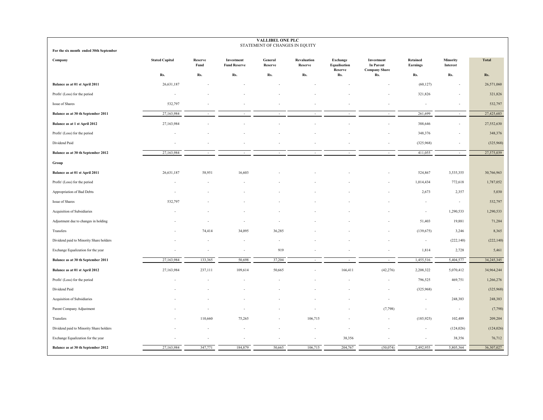| <b>VALLIBEL ONE PLC</b><br>STATEMENT OF CHANGES IN EQUITY |                       |                 |                                   |                          |                        |                                            |                                                        |                             |                             |              |
|-----------------------------------------------------------|-----------------------|-----------------|-----------------------------------|--------------------------|------------------------|--------------------------------------------|--------------------------------------------------------|-----------------------------|-----------------------------|--------------|
| For the six month ended 30th September                    |                       |                 |                                   |                          |                        |                                            |                                                        |                             |                             |              |
| Company                                                   | <b>Stated Capital</b> | Reserve<br>Fund | Investment<br><b>Fund Reserve</b> | General<br>Reserve       | Revaluation<br>Reserve | <b>Exchange</b><br>Equalisation<br>Reserve | Investment<br><b>In Parent</b><br><b>Company Share</b> | <b>Retained</b><br>Earnings | <b>Minority</b><br>Interest | <b>Total</b> |
|                                                           | Rs.                   | Rs.             | Rs.                               | Rs.                      | Rs.                    | Rs.                                        | Rs.                                                    | Rs.                         | Rs.                         | Rs.          |
| Balance as at 01 st April 2011                            | 26,631,187            |                 |                                   |                          |                        |                                            |                                                        | (60, 127)                   |                             | 26,571,060   |
| Profit/ (Loss) for the period                             | ×,                    |                 |                                   |                          |                        |                                            |                                                        | 321,826                     |                             | 321,826      |
| Issue of Shares                                           | 532,797               |                 |                                   |                          |                        |                                            |                                                        |                             |                             | 532,797      |
| Balance as at 30 th September 2011                        | 27,163,984            |                 |                                   |                          |                        |                                            |                                                        | 261,699                     | $\sim$                      | 27,425,683   |
| Balance as at 1 st April 2012                             | 27,163,984            |                 |                                   |                          |                        |                                            |                                                        | 388,646                     |                             | 27,552,630   |
| Profit/ (Loss) for the period                             | ä,                    |                 |                                   |                          |                        |                                            |                                                        | 348,376                     |                             | 348,376      |
| Dividend Paid                                             |                       |                 |                                   |                          |                        |                                            |                                                        | (325,968)                   | $\overline{\phantom{a}}$    | (325,968)    |
| Balance as at 30 th September 2012                        | 27,163,984            |                 | ä,                                | $\overline{\phantom{a}}$ | ÷                      |                                            | $\sim$                                                 | 411,055                     | $\sim$                      | 27,575,039   |
| Group                                                     |                       |                 |                                   |                          |                        |                                            |                                                        |                             |                             |              |
| Balance as at 01 st April 2011                            | 26,631,187            | 58,951          | 16,603                            |                          |                        |                                            |                                                        | 524,867                     | 3,535,355                   | 30,766,963   |
| Profit/ (Loss) for the period                             |                       |                 |                                   |                          |                        |                                            |                                                        | 1,014,434                   | 772,618                     | 1,787,052    |
| Appropriation of Bad Debts                                |                       |                 |                                   |                          |                        |                                            |                                                        | 2,673                       | 2,357                       | 5,030        |
| Issue of Shares                                           | 532,797               |                 |                                   |                          |                        |                                            |                                                        |                             | $\sim$                      | 532,797      |
| Acquisition of Subsidiaries                               |                       |                 |                                   |                          |                        |                                            |                                                        |                             | 1,290,533                   | 1,290,533    |
| Adjustment due to changes in holding                      |                       |                 |                                   |                          |                        |                                            |                                                        | 51,403                      | 19,881                      | 71,284       |
| Transfers                                                 |                       | 74,414          | 34,095                            | 36,285                   |                        |                                            |                                                        | (139, 675)                  | 3,246                       | 8,365        |
| Dividend paid to Minority Share holders                   |                       |                 |                                   |                          |                        |                                            |                                                        | $\sim$                      | (222, 140)                  | (222, 140)   |
| Exchange Equalization for the year                        |                       |                 | ÷,                                | 919                      |                        |                                            |                                                        | 1,814                       | 2,728                       | 5,461        |
| Balance as at 30 th September 2011                        | 27,163,984            | 133,365         | 50,698                            | 37,204                   |                        |                                            |                                                        | 1,455,516                   | 5,404,577                   | 34,245,345   |
| Balance as at 01 st April 2012                            | 27,163,984            | 237,111         | 109,614                           | 50,665                   |                        | 166,411                                    | (42, 276)                                              | 2,208,322                   | 5,070,412                   | 34,964,244   |
| Profit/ (Loss) for the period                             |                       |                 |                                   |                          |                        |                                            |                                                        | 796,525                     | 469,751                     | 1,266,276    |
| Dividend Paid                                             |                       |                 |                                   |                          |                        |                                            |                                                        | (325,968)                   | $\overline{\phantom{a}}$    | (325,968)    |
| Acquisition of Subsidiaries                               |                       |                 |                                   |                          |                        |                                            |                                                        | $\sim$                      | 248,383                     | 248,383      |
| Parent Company Adjustment                                 |                       |                 |                                   |                          |                        |                                            | (7,798)                                                |                             | $\overline{\phantom{a}}$    | (7, 798)     |
| Transfers                                                 |                       | 110,660         | 75,265                            |                          | 106,715                |                                            |                                                        | (185, 925)                  | 102,489                     | 209,204      |
| Dividend paid to Minority Share holders                   |                       |                 |                                   |                          |                        |                                            |                                                        | $\sim$                      | (124, 026)                  | (124, 026)   |
| Exchange Equalization for the year                        |                       |                 |                                   |                          |                        | 38,356                                     |                                                        |                             | 38,356                      | 76,712       |
| Balance as at 30 th September 2012                        | 27,163,984            | 347,771         | 184,879                           | 50,665                   | 106,715                | 204,767                                    | (50, 074)                                              | 2,492,955                   | 5,805,364                   | 36,307,027   |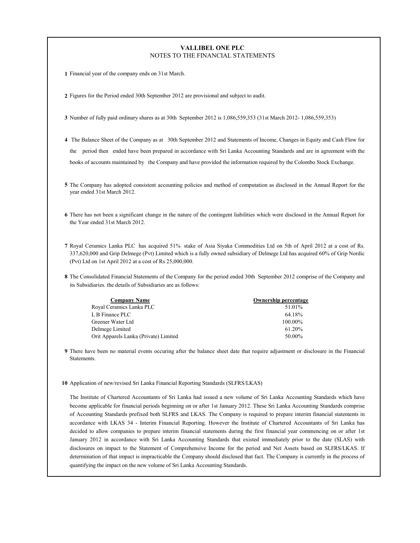## **VALLIBEL ONE PLC** NOTES TO THE FINANCIAL STATEMENTS

**1** Financial year of the company ends on 31st March.

**2** Figures for the Period ended 30th September 2012 are provisional and subject to audit.

- **3** Number of fully paid ordinary shares as at 30th September 2012 is 1,086,559,353 (31st March 2012- 1,086,559,353)
- **4** The Balance Sheet of the Company as at 30th September 2012 and Statements of Income, Changes in Equity and Cash Flow for the period then ended have been prepared in accordance with Sri Lanka Accounting Standards and are in agreement with the books of accounts maintained by the Company and have provided the information required by the Colombo Stock Exchange.
- **5** The Company has adopted consistent accounting policies and method of computation as disclosed in the Annual Report for the year ended 31st March 2012.
- **6** There has not been a significant change in the nature of the contingent liabilities which were disclosed in the Annual Report for the Year ended 31st March 2012.
- **7** Royal Ceramics Lanka PLC has acquired 51% stake of Asia Siyaka Commodities Ltd on 5th of April 2012 at a cost of Rs. 337,620,000 and Grip Delmege (Pvt) Limited which is a fully owned subsidiary of Delmege Ltd has acquired 60% of Grip Nordic (Pvt) Ltd on 1st April 2012 at a cost of Rs 25,000,000.
- **8** The Consolidated Financial Statements of the Company for the period ended 30th September 2012 comprise of the Company and its Subsidiaries. the details of Subsidiaries are as follows:

| <b>Company Name</b>                   | <b>Ownership percentage</b> |
|---------------------------------------|-----------------------------|
| Royal Ceramics Lanka PLC              | 51.01%                      |
| L B Finance PLC                       | 64.18%                      |
| Greener Water Ltd                     | 100.00%                     |
| Delmege Limited                       | $61.20\%$                   |
| Orit Apparels Lanka (Private) Limited | 50.00%                      |

- **9** There have been no material events occuring after the balance sheet date that require adjustment or disclosure in the Financial **Statements**
- **10** Application of new/revised Sri Lanka Financial Reporting Standards (SLFRS/LKAS)

The Institute of Chartered Accountants of Sri Lanka had issued a new volume of Sri Lanka Accounting Standards which have become applicable for financial periods beginning on or after 1st January 2012. These Sri Lanka Accounting Standards comprise of Accounting Standards prefixed both SLFRS and LKAS. The Company is required to prepare interim financial statements in accordance with LKAS 34 - Interim Financial Reporting. However the Institute of Chartered Accountants of Sri Lanka has decided to allow companies to prepare interim financial statements during the first financial year commencing on or after 1st January 2012 in accordance with Sri Lanka Accounting Standards that existed immediately prior to the date (SLAS) with disclosures on impact to the Statement of Comprehensive Income for the period and Net Assets based on SLFRS/LKAS. If determination of that impact is impracticable the Company should disclosed that fact. The Company is currently in the process of quantifying the impact on the new volume of Sri Lanka Accounting Standards.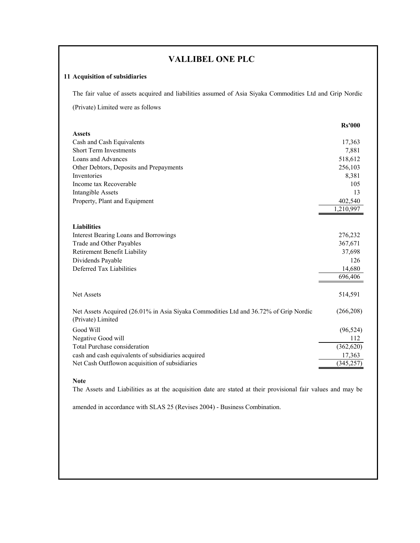# **VALLIBEL ONE PLC**

# **11 Acquisition of subsidiaries**

The fair value of assets acquired and liabilities assumed of Asia Siyaka Commodities Ltd and Grip Nordic

(Private) Limited were as follows

| <b>Rs'000</b> |
|---------------|
|               |
| 17,363        |
| 7,881         |
| 518,612       |
| 256,103       |
| 8,381         |
| 105           |
| 13            |
| 402,540       |
| 1,210,997     |
|               |
|               |
| 276,232       |
| 367,671       |
| 37,698        |
| 126           |
| 14,680        |
| 696,406       |
|               |
| 514,591       |
|               |
| (266, 208)    |
|               |
| (96, 524)     |
| 112           |
| (362, 620)    |
| 17,363        |
| (345, 257)    |
|               |

# **Note**

The Assets and Liabilities as at the acquisition date are stated at their provisional fair values and may be

amended in accordance with SLAS 25 (Revises 2004) - Business Combination.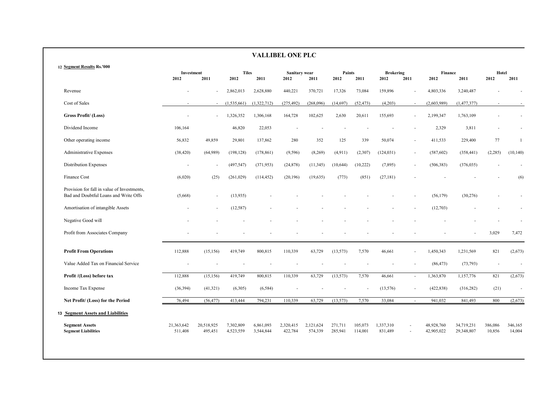|                                                                                      |                       |                       |                        |                        | <b>VALLIBEL ONE PLC</b> |                      |                    |                    |                          |              |                          |                          |                   |                   |
|--------------------------------------------------------------------------------------|-----------------------|-----------------------|------------------------|------------------------|-------------------------|----------------------|--------------------|--------------------|--------------------------|--------------|--------------------------|--------------------------|-------------------|-------------------|
| 12 Segment Results Rs.'000                                                           | Investment<br>2012    | 2011                  | <b>Tiles</b><br>2012   | 2011                   | Sanitary wear<br>2012   | 2011                 | Paints<br>2012     | 2011               | <b>Brokering</b><br>2012 | 2011         | <b>Finance</b><br>2012   | 2011                     | Hotel<br>2012     | 2011              |
| Revenue                                                                              |                       |                       | 2,862,013              | 2,628,880              | 440,221                 | 370,721              | 17,326             | 73,084             | 159,896                  |              | 4,803,336                | 3,240,487                |                   |                   |
| Cost of Sales                                                                        |                       | $\sim$                | (1,535,661)            | (1,322,712)            | (275, 492)              | (268,096)            | (14, 697)          | (52, 473)          | (4,203)                  | $\sim$       | (2,603,989)              | (1, 477, 377)            | $\sim$            |                   |
| Gross Profit/(Loss)                                                                  |                       | ÷                     | 1,326,352              | 1,306,168              | 164,728                 | 102,625              | 2,630              | 20,611             | 155,693                  |              | 2,199,347                | 1,763,109                |                   |                   |
| Dividend Income                                                                      | 106,164               |                       | 46,820                 | 22,053                 |                         |                      |                    |                    |                          |              | 2,329                    | 3,811                    |                   |                   |
| Other operating income                                                               | 56,832                | 49,859                | 29,801                 | 137,862                | 280                     | 352                  | 125                | 339                | 50,074                   | $\sim$       | 411,533                  | 229,400                  | 77                | 1                 |
| Administrative Expenses                                                              | (38, 420)             | (64,989)              | (198, 128)             | (178, 861)             | (9, 596)                | (8,269)              | (4,911)            | (2,307)            | (124, 031)               | $\sim$       | (587, 602)               | (358, 441)               | (2, 285)          | (10, 140)         |
| <b>Distribution Expenses</b>                                                         |                       |                       | (497, 547)             | (371, 953)             | (24, 878)               | (11, 345)            | (10,644)           | (10, 222)          | (7, 895)                 | $\sim$       | (506, 383)               | (376, 035)               |                   |                   |
| Finance Cost                                                                         | (6,020)               | (25)                  | (261, 029)             | (114, 452)             | (20, 196)               | (19, 635)            | (773)              | (851)              | (27, 181)                |              |                          |                          |                   | (6)               |
| Provision for fall in value of Investments,<br>Bad and Doubtful Loans and Write Offs | (5,668)               | ٠                     | (13,935)               |                        |                         |                      |                    |                    |                          |              | (56, 179)                | (30, 276)                |                   |                   |
| Amortisation of intangible Assets                                                    |                       |                       | (12, 587)              |                        |                         |                      |                    |                    |                          |              | (12,703)                 |                          |                   |                   |
| Negative Good will                                                                   |                       |                       |                        |                        |                         |                      |                    |                    |                          |              |                          |                          |                   |                   |
| Profit from Associates Company                                                       |                       |                       |                        |                        |                         |                      |                    |                    |                          |              |                          |                          | 3,029             | 7,472             |
| <b>Profit From Operations</b>                                                        | 112,888               | (15, 156)             | 419,749                | 800,815                | 110,339                 | 63,729               | (13, 573)          | 7,570              | 46,661                   |              | 1,450,343                | 1,231,569                | 821               | (2, 673)          |
| Value Added Tax on Financial Service                                                 |                       |                       |                        |                        |                         |                      |                    |                    |                          |              | (86, 473)                | (73, 793)                |                   |                   |
| Profit /(Loss) before tax                                                            | 112,888               | (15, 156)             | 419,749                | 800,815                | 110,339                 | 63,729               | (13, 573)          | 7,570              | 46,661                   | $\mathbf{r}$ | 1,363,870                | 1,157,776                | 821               | (2,673)           |
| Income Tax Expense                                                                   | (36, 394)             | (41,321)              | (6,305)                | (6, 584)               |                         |                      |                    |                    | (13, 576)                | $\sim$       | (422, 838)               | (316, 282)               | (21)              | ÷.                |
| Net Profit/ (Loss) for the Period                                                    | 76,494                | (56, 477)             | 413,444                | 794,231                | 110,339                 | 63,729               | (13, 573)          | 7,570              | 33,084                   | $\sim$       | 941,032                  | 841,493                  | 800               | (2,673)           |
| <b>13 Segment Assets and Liabilities</b>                                             |                       |                       |                        |                        |                         |                      |                    |                    |                          |              |                          |                          |                   |                   |
| <b>Segment Assets</b><br><b>Segment Liabilities</b>                                  | 21,363,642<br>511,408 | 20,518,925<br>495,451 | 7,302,809<br>4,523,559 | 6,861,093<br>3,544,844 | 2,320,415<br>422,784    | 2,121,624<br>574,339 | 271,711<br>285,941 | 105,073<br>114,001 | 1,337,310<br>831,489     |              | 48,928,760<br>42,905,022 | 34,719,231<br>29,348,807 | 386,086<br>10,856 | 346,165<br>14,004 |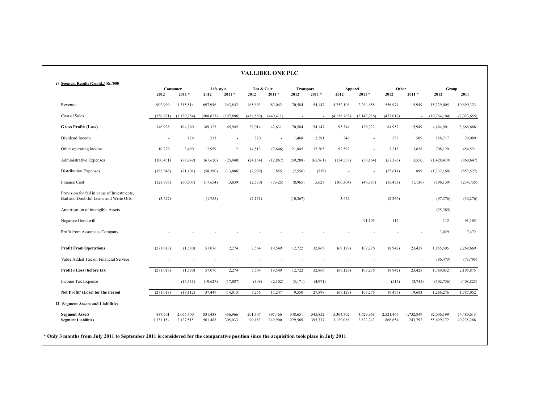|                                                                                      |                      |                        |                    |                    |                    | <b>VALLIBEL ONE PLC</b> |                    |                    |                          |                          |                      |                      |                          |                          |
|--------------------------------------------------------------------------------------|----------------------|------------------------|--------------------|--------------------|--------------------|-------------------------|--------------------|--------------------|--------------------------|--------------------------|----------------------|----------------------|--------------------------|--------------------------|
| 12 Segment Results (Contd) Rs.'000                                                   | Consumer<br>2012     | $2011 *$               | Life style<br>2012 | $2011 *$           | Tea & Coir<br>2012 | $2011 *$                | Transport<br>2012  | $2011 *$           | Apparel<br>2012          | $2011 *$                 | Other<br>2012        | $2011 *$             | Group<br>2012            | 2011                     |
| Revenue                                                                              | 902,999              | 1,315,514              | 697,946            | 243,842            | 465,603            | 483,042                 | 70,584             | 54,147             | 4,252,106                | 2,264,658                | 556,974              | 15,949               | 15,229,005               | 10,690,323               |
| Cost of Sales                                                                        | (756, 071)           | (1,120,754)            | (508, 623)         | (197, 896)         | (436, 589)         | (440, 411)              | $\sim$             |                    | (4, 156, 763)            | (2, 143, 936)            | (472, 017)           |                      | (10, 764, 104)           | (7,023,655)              |
| <b>Gross Profit/</b> (Loss)                                                          | 146,928              | 194,760                | 189,323            | 45,945             | 29,014             | 42,631                  | 70,584             | 54,147             | 95,344                   | 120,722                  | 84,957               | 15,949               | 4,464,901                | 3,666,668                |
| Dividend Income                                                                      | ÷,                   | 126                    | 213                |                    | 820                | ÷,                      | 1,468              | 2,591              | 346                      | $\overline{\phantom{a}}$ | 557                  | 509                  | 158,717                  | 29,089                   |
| Other operating income                                                               | 10,279               | 3.490                  | 12.959             | 2                  | 14,513             | (7,646)                 | 21.845             | 37,205             | 92,592                   |                          | 7,218                | 3.658                | 708,129                  | 454,521                  |
| Administrative Expenses                                                              | (100, 451)           | (78, 249)              | (67, 620)          | (25,948)           | (24, 154)          | (12, 867)               | (59, 288)          | (65,961)           | (154, 558)               | (58, 164)                | (57,376)             | 3,550                | (1,428,419)              | (860, 647)               |
| <b>Distribution Expenses</b>                                                         | (195, 348)           | (71, 101)              | (58, 390)          | (13,886)           | (2,909)            | 855                     | (2, 556)           | (739)              | $\overline{\phantom{a}}$ | $\overline{\phantom{a}}$ | (25,611)             | 899                  | (1,332,160)              | (853, 527)               |
| Finance Cost                                                                         | (128,995)            | (50, 607)              | (17, 654)          | (3,839)            | (2,570)            | (3, 425)                | (8,965)            | 5,627              | (106, 304)               | (46, 387)                | (16, 453)            | (1, 136)             | (596, 139)               | (234, 735)               |
| Provision for fall in value of Investments,<br>Bad and Doubtful Loans and Write Offs | (3,427)              |                        | (1,755)            |                    | (7, 151)           | ÷,                      | (10, 367)          |                    | 3,452                    |                          | (2,346)              |                      | (97, 376)                | (30, 276)                |
| Amortisation of intangible Assets                                                    |                      |                        |                    |                    |                    |                         |                    |                    |                          |                          |                      |                      | (25, 289)                | $\overline{\phantom{a}}$ |
| Negative Good will                                                                   |                      |                        |                    |                    |                    |                         |                    |                    |                          | 91,105                   | 112                  |                      | 112                      | 91,105                   |
| Profit from Associates Company                                                       |                      |                        |                    |                    |                    |                         |                    |                    |                          |                          | $\overline{a}$       |                      | 3,029                    | 7,472                    |
| <b>Profit From Operations</b>                                                        | (271, 013)           | (1,580)                | 57,076             | 2,274              | 7,564              | 19,549                  | 12,722             | 32,869             | (69, 129)                | 107,276                  | (8.942)              | 23,428               | 1,855,505                | 2,269,669                |
| Value Added Tax on Financial Service                                                 |                      |                        |                    |                    |                    |                         |                    |                    |                          |                          |                      |                      | (86, 473)                | (73, 793)                |
| Profit /(Loss) before tax                                                            | (271, 013)           | (1,580)                | 57,076             | 2,274              | 7,564              | 19,549                  | 12,722             | 32,869             | (69, 129)                | 107,276                  | (8.942)              | 23,428               | 1,769,032                | 2,195,875                |
| Income Tax Expense                                                                   |                      | (16, 531)              | (19,627)           | (17,087)           | (308)              | (2,302)                 | (3, 171)           | (4,971)            |                          |                          | (515)                | (3,745)              | (502, 756)               | (408, 823)               |
| Net Profit/ (Loss) for the Period                                                    | (271, 013)           | (18, 112)              | 37,449             | (14, 813)          | 7,256              | 17,247                  | 9,550              | 27,898             | (69, 129)                | 107,276                  | (9, 457)             | 19,683               | 1,266,276                | 1,787,052                |
| 13 Segment Assets and Liabilities                                                    |                      |                        |                    |                    |                    |                         |                    |                    |                          |                          |                      |                      |                          |                          |
| <b>Segment Assets</b><br><b>Segment Liabilities</b>                                  | 887.501<br>1,331,154 | 2,065,400<br>2,127,515 | 831,438<br>561,488 | 436,966<br>305,033 | 201,707<br>99,183  | 397.466<br>249,900      | 348,651<br>229,569 | 545,852<br>395,337 | 5,304,702<br>3,120,066   | 4,629,968<br>2,822,243   | 2,521,466<br>866,654 | 1,732,849<br>243,792 | 92,006,199<br>55,699,172 | 74,480,613<br>40,235,268 |

**\* Only 3 months from July 2011 to September 2011 is considered for the comparative position since the acquisition took place in July 2011**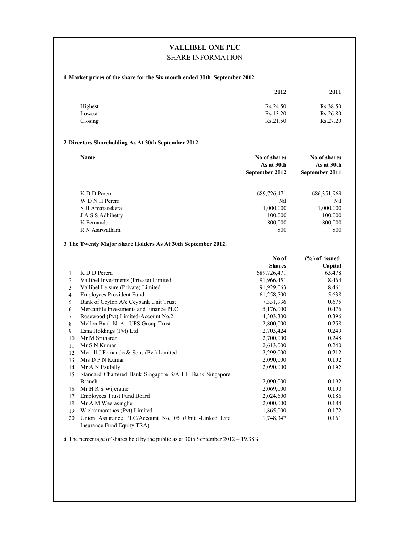# **VALLIBEL ONE PLC** SHARE INFORMATION

## **1 Market prices of the share for the Six month ended 30th September 2012**

|         | <u> 2012 </u> | <u> 2011</u> |
|---------|---------------|--------------|
| Highest | Rs.24.50      | Rs.38.50     |
| Lowest  | Rs.13.20      | Rs.26.80     |
| Closing | Rs.21.50      | Rs.27.20     |

## **2 Directors Shareholding As At 30th September 2012.**

| <b>Name</b>       | No of shares<br>As at 30th<br>September 2012 | No of shares<br>As at 30th<br>September 2011 |
|-------------------|----------------------------------------------|----------------------------------------------|
| K D D Perera      | 689,726,471                                  | 686, 351, 969                                |
| W D N H Perera    | Nil                                          | Nil                                          |
| S H Amarasekera   | 1,000,000                                    | 1,000,000                                    |
| J A S S Adhihetty | 100,000                                      | 100,000                                      |
| K Fernando        | 800,000                                      | 800,000                                      |
| R N Asirwatham    | 800                                          | 800                                          |

#### **3 The Twenty Major Share Holders As At 30th September 2012.**

|    |                                                         | No of         | $(\%)$ of issued |
|----|---------------------------------------------------------|---------------|------------------|
|    |                                                         | <b>Shares</b> | Capital          |
| 1  | K D D Perera                                            | 689,726,471   | 63.478           |
| 2  | Vallibel Investments (Private) Limited                  | 91,966,451    | 8.464            |
| 3  | Vallibel Leisure (Private) Limited                      | 91,929,063    | 8.461            |
| 4  | <b>Employees Provident Fund</b>                         | 61,258,500    | 5.638            |
| 5  | Bank of Ceylon A/c Ceybank Unit Trust                   | 7,331,936     | 0.675            |
| 6  | Mercantile Investments and Finance PLC                  | 5,176,000     | 0.476            |
| 7  | Rosewood (Pvt) Limited-Account No.2                     | 4,303,300     | 0.396            |
| 8  | Mellon Bank N. A. - UPS Group Trust                     | 2,800,000     | 0.258            |
| 9  | Esna Holdings (Pvt) Ltd                                 | 2,703,424     | 0.249            |
| 10 | Mr M Sritharan                                          | 2,700,000     | 0.248            |
| 11 | Mr S N Kumar                                            | 2,613,000     | 0.240            |
| 12 | Merrill J Fernando & Sons (Pvt) Limited                 | 2,299,000     | 0.212            |
| 13 | Mrs D P N Kumar                                         | 2,090,000     | 0.192            |
| 14 | Mr A N Esufally                                         | 2,090,000     | 0.192            |
| 15 | Standard Chartered Bank Singapore S/A HL Bank Singapore |               |                  |
|    | Branch                                                  | 2,090,000     | 0.192            |
| 16 | Mr H R S Wijeratne                                      | 2,069,000     | 0.190            |
| 17 | <b>Employees Trust Fund Board</b>                       | 2,024,600     | 0.186            |
| 18 | Mr A M Weerasinghe                                      | 2,000,000     | 0.184            |
| 19 | Wickramaratnes (Pvt) Limited                            | 1,865,000     | 0.172            |
| 20 | Union Assurance PLC/Account No. 05 (Unit -Linked Life   | 1,748,347     | 0.161            |
|    | Insurance Fund Equity TRA)                              |               |                  |

**4** The percentage of shares held by the public as at 30th September 2012 – 19.38%